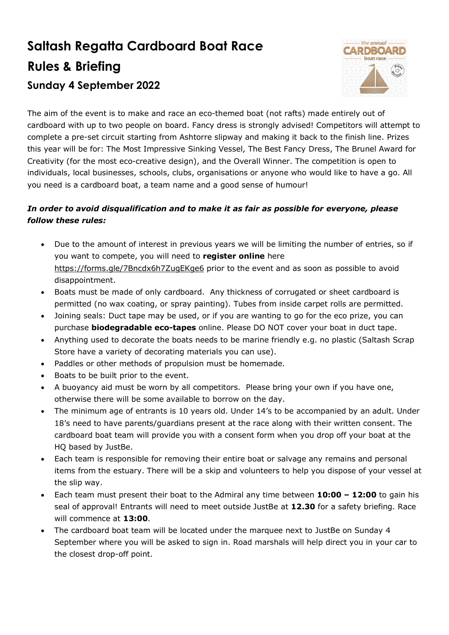## **Saltash Regatta Cardboard Boat Race Rules & Briefing Sunday 4 September 2022**



The aim of the event is to make and race an eco-themed boat (not rafts) made entirely out of cardboard with up to two people on board. Fancy dress is strongly advised! Competitors will attempt to complete a pre-set circuit starting from Ashtorre slipway and making it back to the finish line. Prizes this year will be for: The Most Impressive Sinking Vessel, The Best Fancy Dress, The Brunel Award for Creativity (for the most eco-creative design), and the Overall Winner. The competition is open to individuals, local businesses, schools, clubs, organisations or anyone who would like to have a go. All you need is a cardboard boat, a team name and a good sense of humour!

## *In order to avoid disqualification and to make it as fair as possible for everyone, please follow these rules:*

- Due to the amount of interest in previous years we will be limiting the number of entries, so if you want to compete, you will need to **register online** here https://forms.gle/7Bncdx6h7ZugEKge6 prior to the event and as soon as possible to avoid disappointment.
- Boats must be made of only cardboard. Any thickness of corrugated or sheet cardboard is permitted (no wax coating, or spray painting). Tubes from inside carpet rolls are permitted.
- Joining seals: Duct tape may be used, or if you are wanting to go for the eco prize, you can purchase **biodegradable eco-tapes** online. Please DO NOT cover your boat in duct tape.
- Anything used to decorate the boats needs to be marine friendly e.g. no plastic (Saltash Scrap Store have a variety of decorating materials you can use).
- Paddles or other methods of propulsion must be homemade.
- Boats to be built prior to the event.
- A buoyancy aid must be worn by all competitors. Please bring your own if you have one, otherwise there will be some available to borrow on the day.
- The minimum age of entrants is 10 years old. Under 14's to be accompanied by an adult. Under 18's need to have parents/guardians present at the race along with their written consent. The cardboard boat team will provide you with a consent form when you drop off your boat at the HQ based by JustBe.
- Each team is responsible for removing their entire boat or salvage any remains and personal items from the estuary. There will be a skip and volunteers to help you dispose of your vessel at the slip way.
- Each team must present their boat to the Admiral any time between **10:00 – 12:00** to gain his seal of approval! Entrants will need to meet outside JustBe at **12.30** for a safety briefing. Race will commence at **13:00**.
- The cardboard boat team will be located under the marquee next to JustBe on Sunday 4 September where you will be asked to sign in. Road marshals will help direct you in your car to the closest drop-off point.